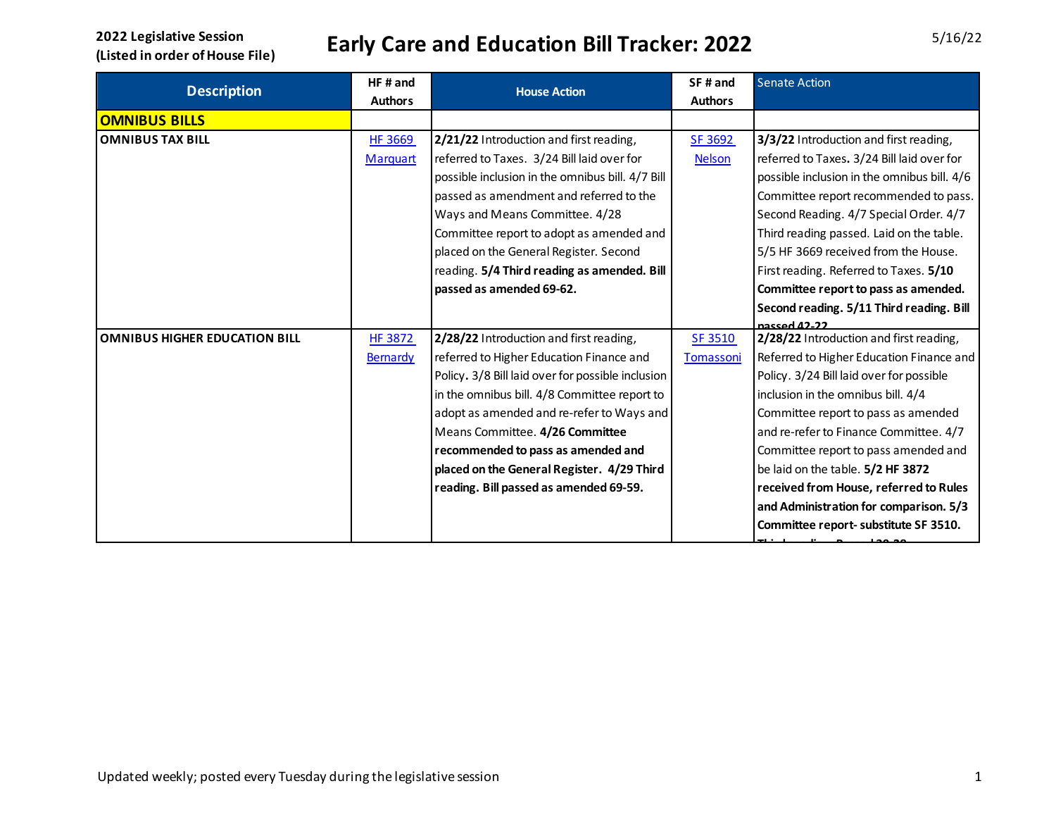|                                      | HF#and          | <b>House Action</b>                               | SF# and        | <b>Senate Action</b>                        |
|--------------------------------------|-----------------|---------------------------------------------------|----------------|---------------------------------------------|
| <b>Description</b>                   | <b>Authors</b>  |                                                   | <b>Authors</b> |                                             |
| <b>OMNIBUS BILLS</b>                 |                 |                                                   |                |                                             |
| <b>OMNIBUS TAX BILL</b>              | HF 3669         | 2/21/22 Introduction and first reading,           | SF 3692        | 3/3/22 Introduction and first reading,      |
|                                      | <b>Marquart</b> | referred to Taxes. 3/24 Bill laid over for        | <b>Nelson</b>  | referred to Taxes. 3/24 Bill laid over for  |
|                                      |                 | possible inclusion in the omnibus bill. 4/7 Bill  |                | possible inclusion in the omnibus bill. 4/6 |
|                                      |                 | passed as amendment and referred to the           |                | Committee report recommended to pass.       |
|                                      |                 | Ways and Means Committee. 4/28                    |                | Second Reading. 4/7 Special Order. 4/7      |
|                                      |                 | Committee report to adopt as amended and          |                | Third reading passed. Laid on the table.    |
|                                      |                 | placed on the General Register. Second            |                | 5/5 HF 3669 received from the House.        |
|                                      |                 | reading. 5/4 Third reading as amended. Bill       |                | First reading. Referred to Taxes. 5/10      |
|                                      |                 | passed as amended 69-62.                          |                | Committee report to pass as amended.        |
|                                      |                 |                                                   |                | Second reading. 5/11 Third reading. Bill    |
|                                      |                 |                                                   |                | nassed 42.22                                |
| <b>OMNIBUS HIGHER EDUCATION BILL</b> | <b>HF 3872</b>  | 2/28/22 Introduction and first reading,           | SF 3510        | 2/28/22 Introduction and first reading,     |
|                                      | Bernardy        | referred to Higher Education Finance and          | Tomassoni      | Referred to Higher Education Finance and    |
|                                      |                 | Policy. 3/8 Bill laid over for possible inclusion |                | Policy. 3/24 Bill laid over for possible    |
|                                      |                 | in the omnibus bill. 4/8 Committee report to      |                | inclusion in the omnibus bill. 4/4          |
|                                      |                 | adopt as amended and re-refer to Ways and         |                | Committee report to pass as amended         |
|                                      |                 | Means Committee. 4/26 Committee                   |                | and re-refer to Finance Committee. 4/7      |
|                                      |                 | recommended to pass as amended and                |                | Committee report to pass amended and        |
|                                      |                 | placed on the General Register. 4/29 Third        |                | be laid on the table. 5/2 HF 3872           |
|                                      |                 | reading. Bill passed as amended 69-59.            |                | received from House, referred to Rules      |
|                                      |                 |                                                   |                | and Administration for comparison. 5/3      |
|                                      |                 |                                                   |                | Committee report- substitute SF 3510.       |
|                                      |                 |                                                   |                |                                             |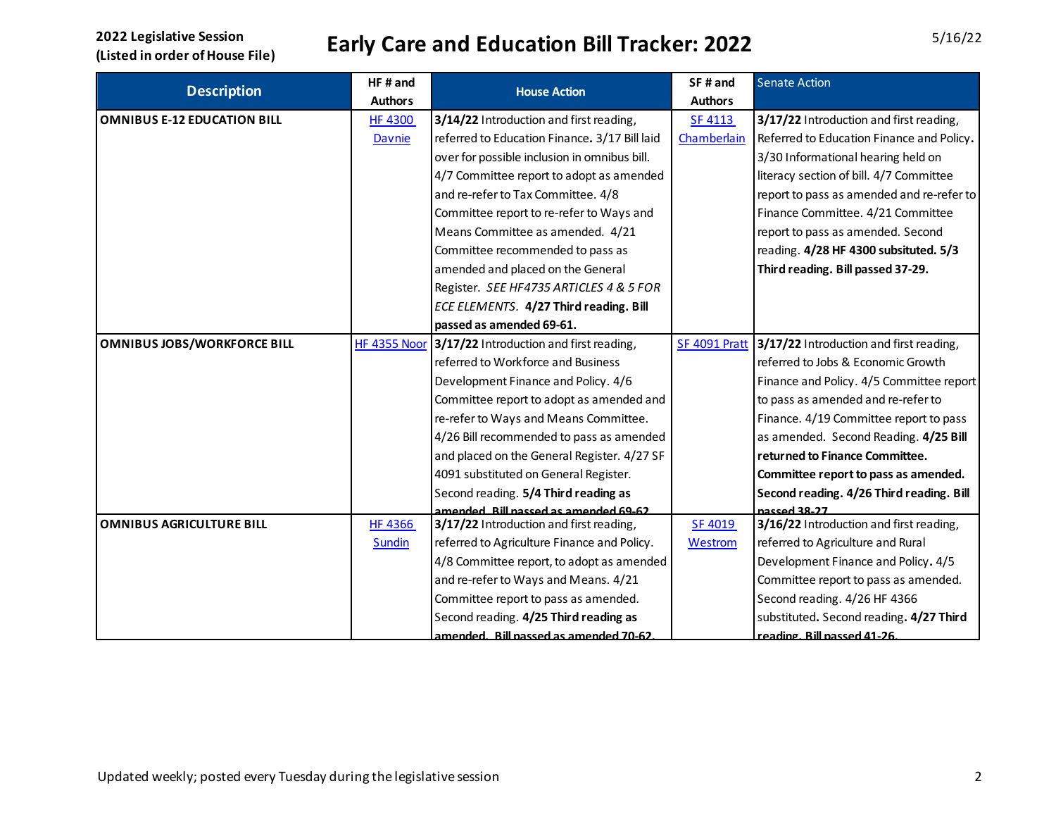| <b>Description</b>                 | HF# and             | <b>House Action</b>                           | SF# and        | <b>Senate Action</b>                      |
|------------------------------------|---------------------|-----------------------------------------------|----------------|-------------------------------------------|
|                                    | <b>Authors</b>      |                                               | <b>Authors</b> |                                           |
| <b>OMNIBUS E-12 EDUCATION BILL</b> | <b>HF 4300</b>      | 3/14/22 Introduction and first reading,       | <b>SF 4113</b> | 3/17/22 Introduction and first reading,   |
|                                    | Davnie              | referred to Education Finance. 3/17 Bill laid | Chamberlain    | Referred to Education Finance and Policy. |
|                                    |                     | over for possible inclusion in omnibus bill.  |                | 3/30 Informational hearing held on        |
|                                    |                     | 4/7 Committee report to adopt as amended      |                | literacy section of bill. 4/7 Committee   |
|                                    |                     | and re-refer to Tax Committee. 4/8            |                | report to pass as amended and re-refer to |
|                                    |                     | Committee report to re-refer to Ways and      |                | Finance Committee. 4/21 Committee         |
|                                    |                     | Means Committee as amended. 4/21              |                | report to pass as amended. Second         |
|                                    |                     | Committee recommended to pass as              |                | reading. 4/28 HF 4300 subsituted. 5/3     |
|                                    |                     | amended and placed on the General             |                | Third reading. Bill passed 37-29.         |
|                                    |                     | Register. SEE HF4735 ARTICLES 4 & 5 FOR       |                |                                           |
|                                    |                     | ECE ELEMENTS. 4/27 Third reading. Bill        |                |                                           |
|                                    |                     | passed as amended 69-61.                      |                |                                           |
| <b>OMNIBUS JOBS/WORKFORCE BILL</b> | <b>HF 4355 Noor</b> | 3/17/22 Introduction and first reading,       | SF 4091 Pratt  | 3/17/22 Introduction and first reading,   |
|                                    |                     | referred to Workforce and Business            |                | referred to Jobs & Economic Growth        |
|                                    |                     | Development Finance and Policy. 4/6           |                | Finance and Policy. 4/5 Committee report  |
|                                    |                     | Committee report to adopt as amended and      |                | to pass as amended and re-refer to        |
|                                    |                     | re-refer to Ways and Means Committee.         |                | Finance. 4/19 Committee report to pass    |
|                                    |                     | 4/26 Bill recommended to pass as amended      |                | as amended. Second Reading. 4/25 Bill     |
|                                    |                     | and placed on the General Register. 4/27 SF   |                | returned to Finance Committee.            |
|                                    |                     | 4091 substituted on General Register.         |                | Committee report to pass as amended.      |
|                                    |                     | Second reading. 5/4 Third reading as          |                | Second reading. 4/26 Third reading. Bill  |
|                                    |                     | CA-03 hobrrome ac hoaseg lift. hobrrome       |                | naccod 38.27                              |
| <b>OMNIBUS AGRICULTURE BILL</b>    | <b>HF 4366</b>      | 3/17/22 Introduction and first reading,       | SF 4019        | 3/16/22 Introduction and first reading,   |
|                                    | Sundin              | referred to Agriculture Finance and Policy.   | Westrom        | referred to Agriculture and Rural         |
|                                    |                     | 4/8 Committee report, to adopt as amended     |                | Development Finance and Policy. 4/5       |
|                                    |                     | and re-refer to Ways and Means. 4/21          |                | Committee report to pass as amended.      |
|                                    |                     | Committee report to pass as amended.          |                | Second reading. 4/26 HF 4366              |
|                                    |                     | Second reading. 4/25 Third reading as         |                | substituted. Second reading. 4/27 Third   |
|                                    |                     | amended. Bill passed as amended 70-62         |                | reading, Bill nassed 41-26.               |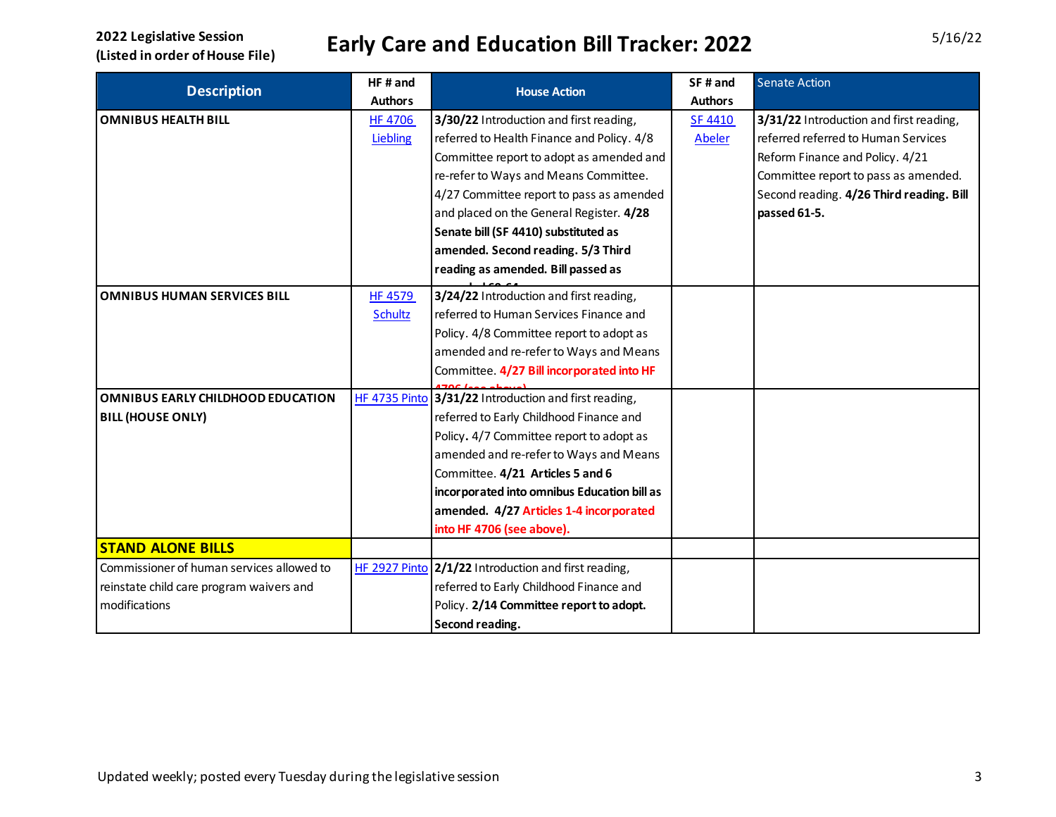| <b>Description</b>                        | HF#and<br><b>Authors</b> | <b>House Action</b>                                  | SF# and<br><b>Authors</b> | <b>Senate Action</b>                     |
|-------------------------------------------|--------------------------|------------------------------------------------------|---------------------------|------------------------------------------|
| <b>OMNIBUS HEALTH BILL</b>                | <b>HF 4706</b>           | 3/30/22 Introduction and first reading,              | SF 4410                   | 3/31/22 Introduction and first reading,  |
|                                           | Liebling                 | referred to Health Finance and Policy. 4/8           | <b>Abeler</b>             | referred referred to Human Services      |
|                                           |                          | Committee report to adopt as amended and             |                           | Reform Finance and Policy. 4/21          |
|                                           |                          | re-refer to Ways and Means Committee.                |                           | Committee report to pass as amended.     |
|                                           |                          | 4/27 Committee report to pass as amended             |                           | Second reading. 4/26 Third reading. Bill |
|                                           |                          | and placed on the General Register. 4/28             |                           | passed 61-5.                             |
|                                           |                          | Senate bill (SF 4410) substituted as                 |                           |                                          |
|                                           |                          | amended. Second reading. 5/3 Third                   |                           |                                          |
|                                           |                          | reading as amended. Bill passed as                   |                           |                                          |
| <b>OMNIBUS HUMAN SERVICES BILL</b>        | <b>HF 4579</b>           | 3/24/22 Introduction and first reading,              |                           |                                          |
|                                           | <b>Schultz</b>           | referred to Human Services Finance and               |                           |                                          |
|                                           |                          | Policy. 4/8 Committee report to adopt as             |                           |                                          |
|                                           |                          | amended and re-refer to Ways and Means               |                           |                                          |
|                                           |                          | Committee. 4/27 Bill incorporated into HF            |                           |                                          |
|                                           |                          |                                                      |                           |                                          |
| OMNIBUS EARLY CHILDHOOD EDUCATION         | HF 4735 Pinto            | 3/31/22 Introduction and first reading,              |                           |                                          |
| <b>BILL (HOUSE ONLY)</b>                  |                          | referred to Early Childhood Finance and              |                           |                                          |
|                                           |                          | Policy. 4/7 Committee report to adopt as             |                           |                                          |
|                                           |                          | amended and re-refer to Ways and Means               |                           |                                          |
|                                           |                          | Committee. 4/21 Articles 5 and 6                     |                           |                                          |
|                                           |                          | incorporated into omnibus Education bill as          |                           |                                          |
|                                           |                          | amended. 4/27 Articles 1-4 incorporated              |                           |                                          |
|                                           |                          | into HF 4706 (see above).                            |                           |                                          |
| <b>STAND ALONE BILLS</b>                  |                          |                                                      |                           |                                          |
| Commissioner of human services allowed to |                          | HF 2927 Pinto 2/1/22 Introduction and first reading, |                           |                                          |
| reinstate child care program waivers and  |                          | referred to Early Childhood Finance and              |                           |                                          |
| modifications                             |                          | Policy. 2/14 Committee report to adopt.              |                           |                                          |
|                                           |                          | Second reading.                                      |                           |                                          |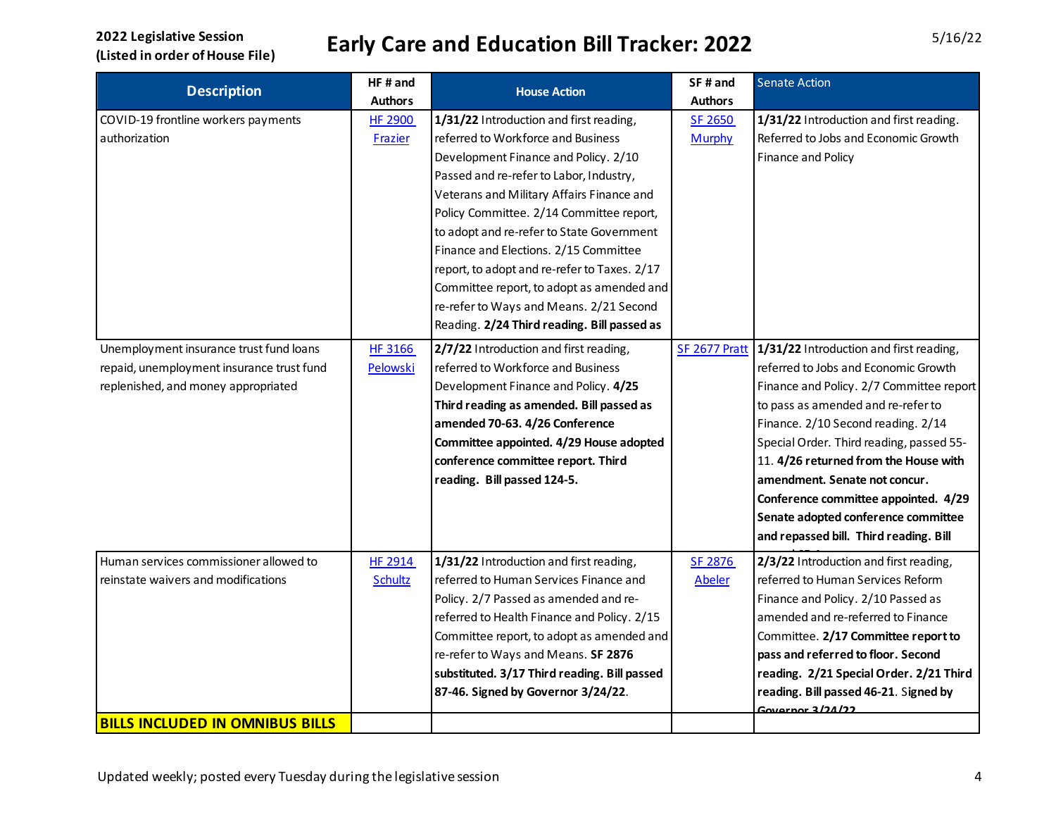| <b>Description</b>                        | HF# and        | <b>House Action</b>                          | SF# and        | <b>Senate Action</b>                     |
|-------------------------------------------|----------------|----------------------------------------------|----------------|------------------------------------------|
|                                           | <b>Authors</b> |                                              | <b>Authors</b> |                                          |
| COVID-19 frontline workers payments       | <b>HF 2900</b> | 1/31/22 Introduction and first reading,      | SF 2650        | 1/31/22 Introduction and first reading.  |
| authorization                             | Frazier        | referred to Workforce and Business           | Murphy         | Referred to Jobs and Economic Growth     |
|                                           |                | Development Finance and Policy. 2/10         |                | Finance and Policy                       |
|                                           |                | Passed and re-refer to Labor, Industry,      |                |                                          |
|                                           |                | Veterans and Military Affairs Finance and    |                |                                          |
|                                           |                | Policy Committee. 2/14 Committee report,     |                |                                          |
|                                           |                | to adopt and re-refer to State Government    |                |                                          |
|                                           |                | Finance and Elections. 2/15 Committee        |                |                                          |
|                                           |                | report, to adopt and re-refer to Taxes. 2/17 |                |                                          |
|                                           |                | Committee report, to adopt as amended and    |                |                                          |
|                                           |                | re-refer to Ways and Means. 2/21 Second      |                |                                          |
|                                           |                | Reading. 2/24 Third reading. Bill passed as  |                |                                          |
| Unemployment insurance trust fund loans   | HF 3166        | 2/7/22 Introduction and first reading,       | SF 2677 Pratt  | 1/31/22 Introduction and first reading,  |
| repaid, unemployment insurance trust fund | Pelowski       | referred to Workforce and Business           |                | referred to Jobs and Economic Growth     |
| replenished, and money appropriated       |                | Development Finance and Policy. 4/25         |                | Finance and Policy. 2/7 Committee report |
|                                           |                | Third reading as amended. Bill passed as     |                | to pass as amended and re-refer to       |
|                                           |                | amended 70-63. 4/26 Conference               |                | Finance. 2/10 Second reading. 2/14       |
|                                           |                | Committee appointed. 4/29 House adopted      |                | Special Order. Third reading, passed 55- |
|                                           |                | conference committee report. Third           |                | 11. 4/26 returned from the House with    |
|                                           |                | reading. Bill passed 124-5.                  |                | amendment. Senate not concur.            |
|                                           |                |                                              |                | Conference committee appointed. 4/29     |
|                                           |                |                                              |                | Senate adopted conference committee      |
|                                           |                |                                              |                | and repassed bill. Third reading. Bill   |
| Human services commissioner allowed to    | <b>HF 2914</b> | 1/31/22 Introduction and first reading,      | SF 2876        | 2/3/22 Introduction and first reading,   |
| reinstate waivers and modifications       | Schultz        | referred to Human Services Finance and       | <b>Abeler</b>  | referred to Human Services Reform        |
|                                           |                | Policy. 2/7 Passed as amended and re-        |                | Finance and Policy. 2/10 Passed as       |
|                                           |                | referred to Health Finance and Policy. 2/15  |                | amended and re-referred to Finance       |
|                                           |                | Committee report, to adopt as amended and    |                | Committee. 2/17 Committee report to      |
|                                           |                | re-refer to Ways and Means. SF 2876          |                | pass and referred to floor. Second       |
|                                           |                | substituted. 3/17 Third reading. Bill passed |                | reading. 2/21 Special Order. 2/21 Third  |
|                                           |                | 87-46. Signed by Governor 3/24/22.           |                | reading. Bill passed 46-21. Signed by    |
|                                           |                |                                              |                | Governor 3/24/22                         |
| <b>BILLS INCLUDED IN OMNIBUS BILLS</b>    |                |                                              |                |                                          |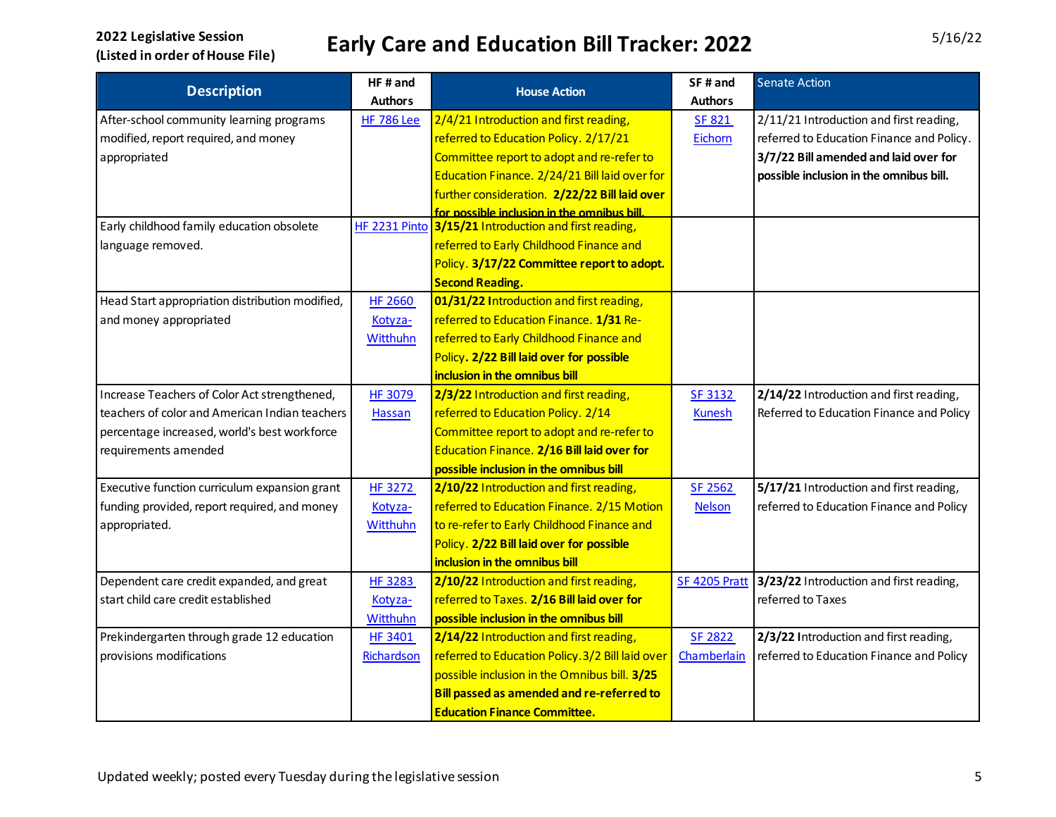| <b>Description</b>                              | HF# and           | <b>House Action</b>                                   | SF# and        | <b>Senate Action</b>                      |
|-------------------------------------------------|-------------------|-------------------------------------------------------|----------------|-------------------------------------------|
|                                                 | <b>Authors</b>    |                                                       | <b>Authors</b> |                                           |
| After-school community learning programs        | <b>HF 786 Lee</b> | 2/4/21 Introduction and first reading,                | <b>SF 821</b>  | 2/11/21 Introduction and first reading,   |
| modified, report required, and money            |                   | referred to Education Policy. 2/17/21                 | Eichorn        | referred to Education Finance and Policy. |
| appropriated                                    |                   | Committee report to adopt and re-refer to             |                | 3/7/22 Bill amended and laid over for     |
|                                                 |                   | Education Finance. 2/24/21 Bill laid over for         |                | possible inclusion in the omnibus bill.   |
|                                                 |                   | further consideration. 2/22/22 Bill laid over         |                |                                           |
|                                                 |                   | for possible inclusion in the omnibus bill.           |                |                                           |
| Early childhood family education obsolete       |                   | HF 2231 Pinto 3/15/21 Introduction and first reading, |                |                                           |
| language removed.                               |                   | referred to Early Childhood Finance and               |                |                                           |
|                                                 |                   | Policy. 3/17/22 Committee report to adopt.            |                |                                           |
|                                                 |                   | <b>Second Reading.</b>                                |                |                                           |
| Head Start appropriation distribution modified, | <b>HF 2660</b>    | 01/31/22 Introduction and first reading,              |                |                                           |
| and money appropriated                          | Kotyza-           | referred to Education Finance. 1/31 Re-               |                |                                           |
|                                                 | Witthuhn          | referred to Early Childhood Finance and               |                |                                           |
|                                                 |                   | Policy. 2/22 Bill laid over for possible              |                |                                           |
|                                                 |                   | inclusion in the omnibus bill                         |                |                                           |
| Increase Teachers of Color Act strengthened,    | <b>HF 3079</b>    | 2/3/22 Introduction and first reading,                | <b>SF 3132</b> | 2/14/22 Introduction and first reading,   |
| teachers of color and American Indian teachers  | Hassan            | referred to Education Policy. 2/14                    | <b>Kunesh</b>  | Referred to Education Finance and Policy  |
| percentage increased, world's best workforce    |                   | Committee report to adopt and re-refer to             |                |                                           |
| requirements amended                            |                   | Education Finance. 2/16 Bill laid over for            |                |                                           |
|                                                 |                   | possible inclusion in the omnibus bill                |                |                                           |
| Executive function curriculum expansion grant   | HF 3272           | 2/10/22 Introduction and first reading,               | SF 2562        | 5/17/21 Introduction and first reading,   |
| funding provided, report required, and money    | Kotyza-           | referred to Education Finance. 2/15 Motion            | <b>Nelson</b>  | referred to Education Finance and Policy  |
| appropriated.                                   | <b>Witthuhn</b>   | to re-refer to Early Childhood Finance and            |                |                                           |
|                                                 |                   | Policy. 2/22 Bill laid over for possible              |                |                                           |
|                                                 |                   | inclusion in the omnibus bill                         |                |                                           |
| Dependent care credit expanded, and great       | <b>HF 3283</b>    | 2/10/22 Introduction and first reading,               | SF 4205 Pratt  | 3/23/22 Introduction and first reading,   |
| start child care credit established             | Kotyza-           | referred to Taxes. 2/16 Bill laid over for            |                | referred to Taxes                         |
|                                                 | Witthuhn          | possible inclusion in the omnibus bill                |                |                                           |
| Prekindergarten through grade 12 education      | <b>HF 3401</b>    | 2/14/22 Introduction and first reading,               | SF 2822        | 2/3/22 Introduction and first reading,    |
| provisions modifications                        | Richardson        | referred to Education Policy. 3/2 Bill laid over      | Chamberlain    | referred to Education Finance and Policy  |
|                                                 |                   | possible inclusion in the Omnibus bill. 3/25          |                |                                           |
|                                                 |                   | Bill passed as amended and re-referred to             |                |                                           |
|                                                 |                   | <b>Education Finance Committee.</b>                   |                |                                           |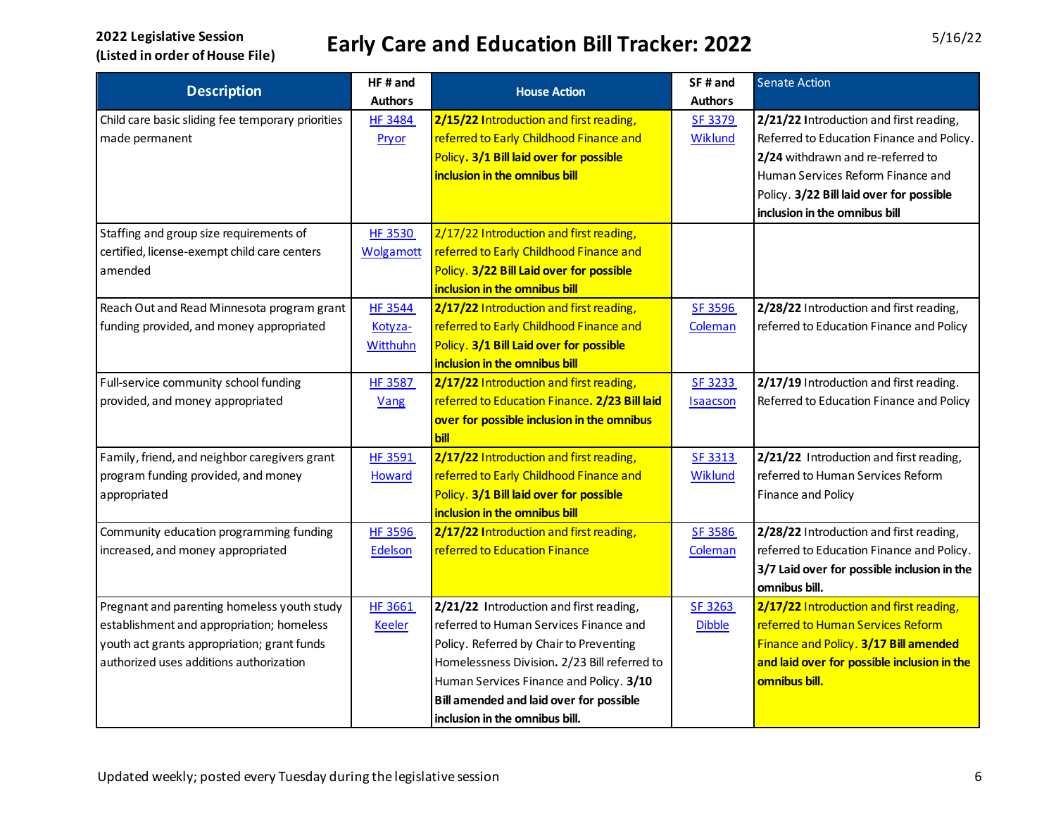| <b>Description</b>                                | HF# and          | <b>House Action</b>                            | SF# and         | <b>Senate Action</b>                        |
|---------------------------------------------------|------------------|------------------------------------------------|-----------------|---------------------------------------------|
|                                                   | <b>Authors</b>   |                                                | <b>Authors</b>  |                                             |
| Child care basic sliding fee temporary priorities | <b>HF 3484</b>   | 2/15/22 Introduction and first reading,        | SF 3379         | 2/21/22 Introduction and first reading,     |
| made permanent                                    | Pryor            | referred to Early Childhood Finance and        | Wiklund         | Referred to Education Finance and Policy.   |
|                                                   |                  | Policy. 3/1 Bill laid over for possible        |                 | 2/24 withdrawn and re-referred to           |
|                                                   |                  | inclusion in the omnibus bill                  |                 | Human Services Reform Finance and           |
|                                                   |                  |                                                |                 | Policy. 3/22 Bill laid over for possible    |
|                                                   |                  |                                                |                 | inclusion in the omnibus bill               |
| Staffing and group size requirements of           | <b>HF 3530</b>   | 2/17/22 Introduction and first reading,        |                 |                                             |
| certified, license-exempt child care centers      | <b>Wolgamott</b> | referred to Early Childhood Finance and        |                 |                                             |
| amended                                           |                  | Policy. 3/22 Bill Laid over for possible       |                 |                                             |
|                                                   |                  | inclusion in the omnibus bill                  |                 |                                             |
| Reach Out and Read Minnesota program grant        | <b>HF 3544</b>   | 2/17/22 Introduction and first reading,        | SF 3596         | 2/28/22 Introduction and first reading,     |
| funding provided, and money appropriated          | Kotyza-          | referred to Early Childhood Finance and        | Coleman         | referred to Education Finance and Policy    |
|                                                   | <b>Witthuhn</b>  | Policy. 3/1 Bill Laid over for possible        |                 |                                             |
|                                                   |                  | inclusion in the omnibus bill                  |                 |                                             |
| Full-service community school funding             | <b>HF 3587</b>   | 2/17/22 Introduction and first reading,        | <b>SF 3233</b>  | 2/17/19 Introduction and first reading.     |
| provided, and money appropriated                  | Vang             | referred to Education Finance. 2/23 Bill laid  | <b>Isaacson</b> | Referred to Education Finance and Policy    |
|                                                   |                  | over for possible inclusion in the omnibus     |                 |                                             |
|                                                   |                  | bill                                           |                 |                                             |
| Family, friend, and neighbor caregivers grant     | HF 3591          | 2/17/22 Introduction and first reading,        | SF 3313         | 2/21/22 Introduction and first reading,     |
| program funding provided, and money               | <b>Howard</b>    | referred to Early Childhood Finance and        | <b>Wiklund</b>  | referred to Human Services Reform           |
| appropriated                                      |                  | Policy. 3/1 Bill laid over for possible        |                 | Finance and Policy                          |
|                                                   |                  | inclusion in the omnibus bill                  |                 |                                             |
| Community education programming funding           | <b>HF 3596</b>   | 2/17/22 Introduction and first reading,        | SF 3586         | 2/28/22 Introduction and first reading,     |
| increased, and money appropriated                 | Edelson          | referred to Education Finance                  | Coleman         | referred to Education Finance and Policy.   |
|                                                   |                  |                                                |                 | 3/7 Laid over for possible inclusion in the |
|                                                   |                  |                                                |                 | omnibus bill.                               |
| Pregnant and parenting homeless youth study       | HF 3661          | 2/21/22 Introduction and first reading,        | SF 3263         | 2/17/22 Introduction and first reading,     |
| establishment and appropriation; homeless         | <b>Keeler</b>    | referred to Human Services Finance and         | <b>Dibble</b>   | referred to Human Services Reform           |
| youth act grants appropriation; grant funds       |                  | Policy. Referred by Chair to Preventing        |                 | Finance and Policy. 3/17 Bill amended       |
| authorized uses additions authorization           |                  | Homelessness Division. 2/23 Bill referred to   |                 | and laid over for possible inclusion in the |
|                                                   |                  | Human Services Finance and Policy. 3/10        |                 | omnibus bill.                               |
|                                                   |                  | <b>Bill amended and laid over for possible</b> |                 |                                             |
|                                                   |                  | inclusion in the omnibus bill.                 |                 |                                             |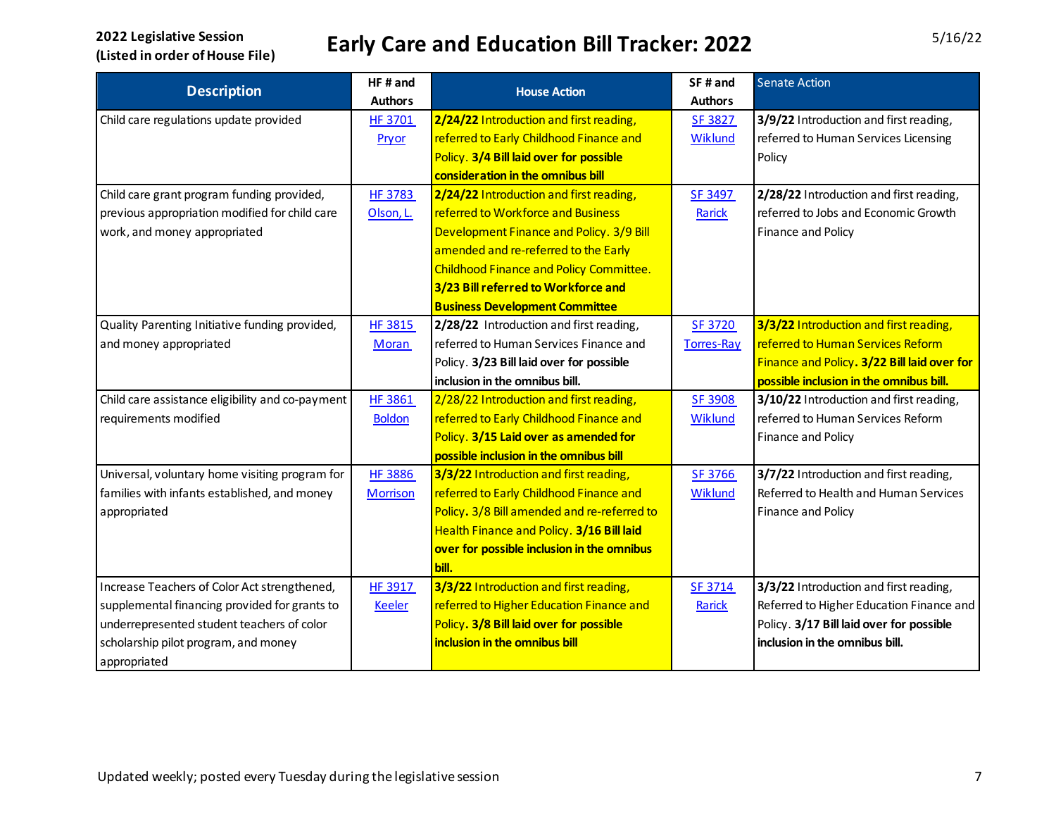| <b>Description</b>                               | HF# and         | <b>House Action</b>                         | SF# and           | <b>Senate Action</b>                        |
|--------------------------------------------------|-----------------|---------------------------------------------|-------------------|---------------------------------------------|
|                                                  | <b>Authors</b>  |                                             | <b>Authors</b>    |                                             |
| Child care regulations update provided           | HF 3701         | 2/24/22 Introduction and first reading,     | SF 3827           | 3/9/22 Introduction and first reading,      |
|                                                  | Pryor           | referred to Early Childhood Finance and     | Wiklund           | referred to Human Services Licensing        |
|                                                  |                 | Policy. 3/4 Bill laid over for possible     |                   | Policy                                      |
|                                                  |                 | consideration in the omnibus bill           |                   |                                             |
| Child care grant program funding provided,       | <b>HF 3783</b>  | 2/24/22 Introduction and first reading,     | SF 3497           | 2/28/22 Introduction and first reading,     |
| previous appropriation modified for child care   | Olson, L.       | referred to Workforce and Business          | Rarick            | referred to Jobs and Economic Growth        |
| work, and money appropriated                     |                 | Development Finance and Policy. 3/9 Bill    |                   | Finance and Policy                          |
|                                                  |                 | amended and re-referred to the Early        |                   |                                             |
|                                                  |                 | Childhood Finance and Policy Committee.     |                   |                                             |
|                                                  |                 | 3/23 Bill referred to Workforce and         |                   |                                             |
|                                                  |                 | <b>Business Development Committee</b>       |                   |                                             |
| Quality Parenting Initiative funding provided,   | <b>HF 3815</b>  | 2/28/22 Introduction and first reading,     | SF 3720           | 3/3/22 Introduction and first reading,      |
| and money appropriated                           | Moran           | referred to Human Services Finance and      | <b>Torres-Ray</b> | referred to Human Services Reform           |
|                                                  |                 | Policy. 3/23 Bill laid over for possible    |                   | Finance and Policy. 3/22 Bill laid over for |
|                                                  |                 | inclusion in the omnibus bill.              |                   | possible inclusion in the omnibus bill.     |
| Child care assistance eligibility and co-payment | HF 3861         | 2/28/22 Introduction and first reading,     | SF 3908           | 3/10/22 Introduction and first reading,     |
| requirements modified                            | <b>Boldon</b>   | referred to Early Childhood Finance and     | Wiklund           | referred to Human Services Reform           |
|                                                  |                 | Policy. 3/15 Laid over as amended for       |                   | Finance and Policy                          |
|                                                  |                 | possible inclusion in the omnibus bill      |                   |                                             |
| Universal, voluntary home visiting program for   | <b>HF 3886</b>  | 3/3/22 Introduction and first reading,      | <b>SF 3766</b>    | 3/7/22 Introduction and first reading,      |
| families with infants established, and money     | <b>Morrison</b> | referred to Early Childhood Finance and     | Wiklund           | Referred to Health and Human Services       |
| appropriated                                     |                 | Policy. 3/8 Bill amended and re-referred to |                   | Finance and Policy                          |
|                                                  |                 | Health Finance and Policy. 3/16 Bill laid   |                   |                                             |
|                                                  |                 | over for possible inclusion in the omnibus  |                   |                                             |
|                                                  |                 | bill.                                       |                   |                                             |
| Increase Teachers of Color Act strengthened,     | <b>HF 3917</b>  | 3/3/22 Introduction and first reading,      | SF 3714           | 3/3/22 Introduction and first reading,      |
| supplemental financing provided for grants to    | <b>Keeler</b>   | referred to Higher Education Finance and    | Rarick            | Referred to Higher Education Finance and    |
| underrepresented student teachers of color       |                 | Policy. 3/8 Bill laid over for possible     |                   | Policy. 3/17 Bill laid over for possible    |
| scholarship pilot program, and money             |                 | inclusion in the omnibus bill               |                   | inclusion in the omnibus bill.              |
| appropriated                                     |                 |                                             |                   |                                             |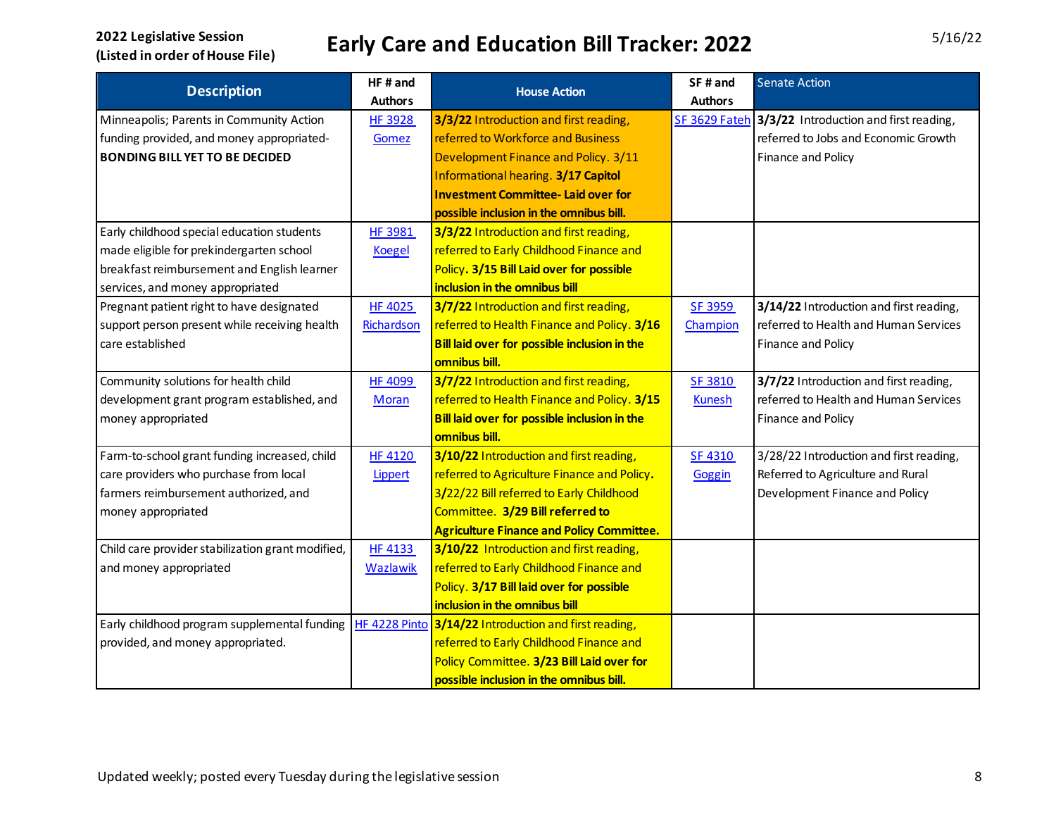| <b>Description</b>                                | HF# and         |                                                       | SF# and        | <b>Senate Action</b>                                 |
|---------------------------------------------------|-----------------|-------------------------------------------------------|----------------|------------------------------------------------------|
|                                                   | <b>Authors</b>  | <b>House Action</b>                                   | <b>Authors</b> |                                                      |
| Minneapolis; Parents in Community Action          | HF 3928         | 3/3/22 Introduction and first reading,                |                | SF 3629 Fateh 3/3/22 Introduction and first reading, |
| funding provided, and money appropriated-         | Gomez           | referred to Workforce and Business                    |                | referred to Jobs and Economic Growth                 |
| <b>BONDING BILL YET TO BE DECIDED</b>             |                 | Development Finance and Policy. 3/11                  |                | Finance and Policy                                   |
|                                                   |                 | <b>Informational hearing. 3/17 Capitol</b>            |                |                                                      |
|                                                   |                 | <b>Investment Committee-Laid over for</b>             |                |                                                      |
|                                                   |                 | possible inclusion in the omnibus bill.               |                |                                                      |
| Early childhood special education students        | <b>HF 3981</b>  | 3/3/22 Introduction and first reading,                |                |                                                      |
| made eligible for prekindergarten school          | <b>Koegel</b>   | referred to Early Childhood Finance and               |                |                                                      |
| breakfast reimbursement and English learner       |                 | Policy. 3/15 Bill Laid over for possible              |                |                                                      |
| services, and money appropriated                  |                 | inclusion in the omnibus bill                         |                |                                                      |
| Pregnant patient right to have designated         | <b>HF 4025</b>  | 3/7/22 Introduction and first reading,                | <b>SF 3959</b> | 3/14/22 Introduction and first reading,              |
| support person present while receiving health     | Richardson      | referred to Health Finance and Policy. 3/16           | Champion       | referred to Health and Human Services                |
| care established                                  |                 | Bill laid over for possible inclusion in the          |                | Finance and Policy                                   |
|                                                   |                 | omnibus bill.                                         |                |                                                      |
| Community solutions for health child              | <b>HF 4099</b>  | 3/7/22 Introduction and first reading,                | SF 3810        | 3/7/22 Introduction and first reading,               |
| development grant program established, and        | Moran           | referred to Health Finance and Policy. 3/15           | <b>Kunesh</b>  | referred to Health and Human Services                |
| money appropriated                                |                 | Bill laid over for possible inclusion in the          |                | Finance and Policy                                   |
|                                                   |                 | omnibus bill.                                         |                |                                                      |
| Farm-to-school grant funding increased, child     | <b>HF 4120</b>  | 3/10/22 Introduction and first reading,               | SF 4310        | 3/28/22 Introduction and first reading,              |
| care providers who purchase from local            | <b>Lippert</b>  | referred to Agriculture Finance and Policy.           | Goggin         | Referred to Agriculture and Rural                    |
| farmers reimbursement authorized, and             |                 | 3/22/22 Bill referred to Early Childhood              |                | Development Finance and Policy                       |
| money appropriated                                |                 | Committee. 3/29 Bill referred to                      |                |                                                      |
|                                                   |                 | <b>Agriculture Finance and Policy Committee.</b>      |                |                                                      |
| Child care provider stabilization grant modified, | <b>HF 4133</b>  | 3/10/22 Introduction and first reading,               |                |                                                      |
| and money appropriated                            | <b>Wazlawik</b> | referred to Early Childhood Finance and               |                |                                                      |
|                                                   |                 | Policy. 3/17 Bill laid over for possible              |                |                                                      |
|                                                   |                 | inclusion in the omnibus bill                         |                |                                                      |
| Early childhood program supplemental funding      |                 | HF 4228 Pinto 3/14/22 Introduction and first reading, |                |                                                      |
| provided, and money appropriated.                 |                 | referred to Early Childhood Finance and               |                |                                                      |
|                                                   |                 | Policy Committee. 3/23 Bill Laid over for             |                |                                                      |
|                                                   |                 | possible inclusion in the omnibus bill.               |                |                                                      |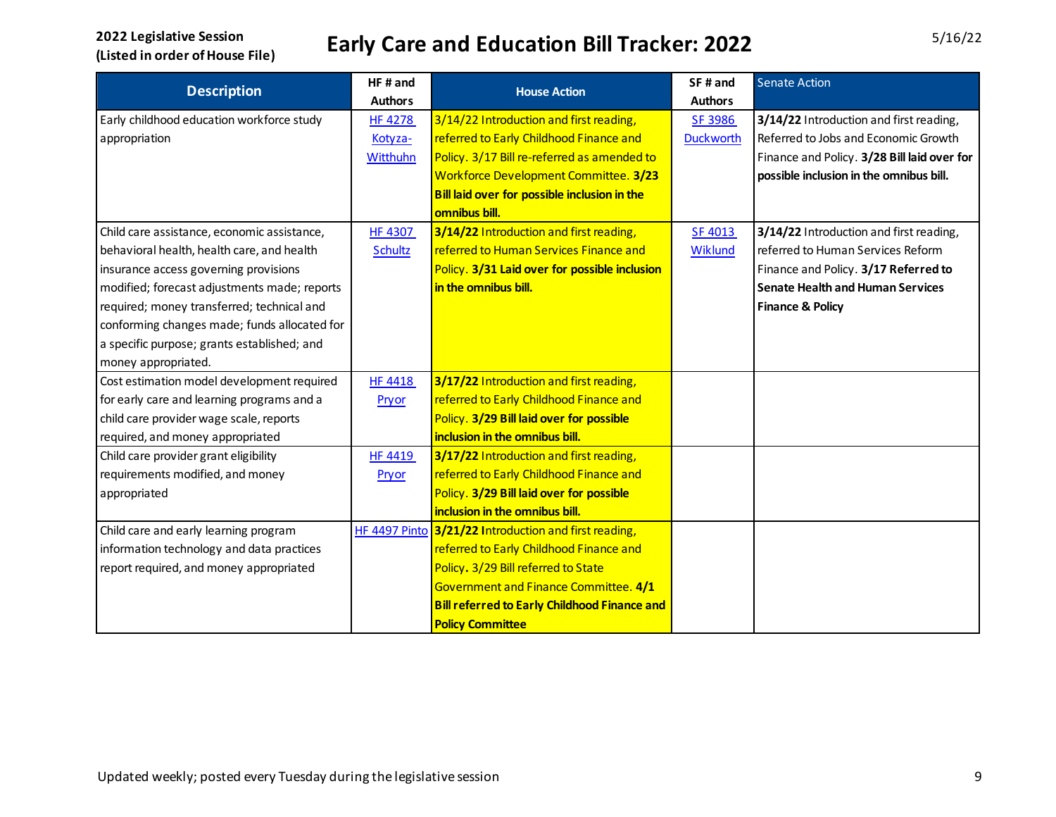| <b>Description</b>                           | HF# and        | <b>House Action</b>                                   | SF# and          | <b>Senate Action</b>                        |
|----------------------------------------------|----------------|-------------------------------------------------------|------------------|---------------------------------------------|
|                                              | <b>Authors</b> |                                                       | <b>Authors</b>   |                                             |
| Early childhood education workforce study    | <b>HF 4278</b> | 3/14/22 Introduction and first reading,               | SF 3986          | 3/14/22 Introduction and first reading,     |
| appropriation                                | Kotyza-        | referred to Early Childhood Finance and               | <b>Duckworth</b> | Referred to Jobs and Economic Growth        |
|                                              | Witthuhn       | Policy. 3/17 Bill re-referred as amended to           |                  | Finance and Policy. 3/28 Bill laid over for |
|                                              |                | Workforce Development Committee. 3/23                 |                  | possible inclusion in the omnibus bill.     |
|                                              |                | Bill laid over for possible inclusion in the          |                  |                                             |
|                                              |                | omnibus bill.                                         |                  |                                             |
| Child care assistance, economic assistance,  | <b>HF 4307</b> | 3/14/22 Introduction and first reading,               | SF 4013          | 3/14/22 Introduction and first reading,     |
| behavioral health, health care, and health   | <b>Schultz</b> | referred to Human Services Finance and                | Wiklund          | referred to Human Services Reform           |
| insurance access governing provisions        |                | Policy. 3/31 Laid over for possible inclusion         |                  | Finance and Policy. 3/17 Referred to        |
| modified; forecast adjustments made; reports |                | in the omnibus bill.                                  |                  | <b>Senate Health and Human Services</b>     |
| required; money transferred; technical and   |                |                                                       |                  | <b>Finance &amp; Policy</b>                 |
| conforming changes made; funds allocated for |                |                                                       |                  |                                             |
| a specific purpose; grants established; and  |                |                                                       |                  |                                             |
| money appropriated.                          |                |                                                       |                  |                                             |
| Cost estimation model development required   | <b>HF 4418</b> | 3/17/22 Introduction and first reading,               |                  |                                             |
| for early care and learning programs and a   | Pryor          | referred to Early Childhood Finance and               |                  |                                             |
| child care provider wage scale, reports      |                | Policy. 3/29 Bill laid over for possible              |                  |                                             |
| required, and money appropriated             |                | inclusion in the omnibus bill.                        |                  |                                             |
| Child care provider grant eligibility        | <b>HF 4419</b> | 3/17/22 Introduction and first reading,               |                  |                                             |
| requirements modified, and money             | Pryor          | referred to Early Childhood Finance and               |                  |                                             |
| appropriated                                 |                | Policy. 3/29 Bill laid over for possible              |                  |                                             |
|                                              |                | inclusion in the omnibus bill.                        |                  |                                             |
| Child care and early learning program        |                | HF 4497 Pinto 3/21/22 Introduction and first reading, |                  |                                             |
| information technology and data practices    |                | referred to Early Childhood Finance and               |                  |                                             |
| report required, and money appropriated      |                | Policy. 3/29 Bill referred to State                   |                  |                                             |
|                                              |                | Government and Finance Committee. 4/1                 |                  |                                             |
|                                              |                | <b>Bill referred to Early Childhood Finance and</b>   |                  |                                             |
|                                              |                | <b>Policy Committee</b>                               |                  |                                             |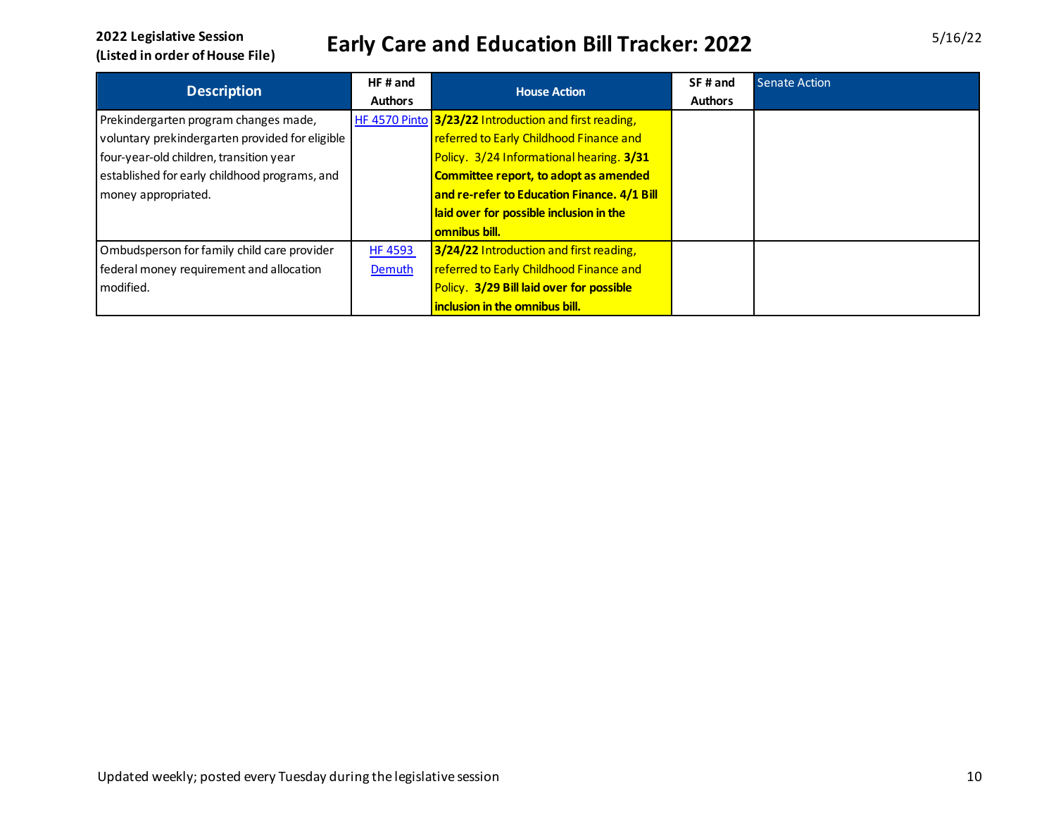| <b>Description</b>                              | HF#and         | <b>House Action</b>                                   | SF# and        | Senate Action |
|-------------------------------------------------|----------------|-------------------------------------------------------|----------------|---------------|
|                                                 | <b>Authors</b> |                                                       | <b>Authors</b> |               |
| Prekindergarten program changes made,           |                | HF 4570 Pinto 3/23/22 Introduction and first reading, |                |               |
| voluntary prekindergarten provided for eligible |                | referred to Early Childhood Finance and               |                |               |
| four-year-old children, transition year         |                | Policy. 3/24 Informational hearing. 3/31              |                |               |
| established for early childhood programs, and   |                | Committee report, to adopt as amended                 |                |               |
| money appropriated.                             |                | and re-refer to Education Finance. 4/1 Bill           |                |               |
|                                                 |                | laid over for possible inclusion in the               |                |               |
|                                                 |                | <b>omnibus bill.</b>                                  |                |               |
| Ombudsperson for family child care provider     | <b>HF 4593</b> | 3/24/22 Introduction and first reading,               |                |               |
| federal money requirement and allocation        | Demuth         | referred to Early Childhood Finance and               |                |               |
| modified.                                       |                | Policy. 3/29 Bill laid over for possible              |                |               |
|                                                 |                | inclusion in the omnibus bill.                        |                |               |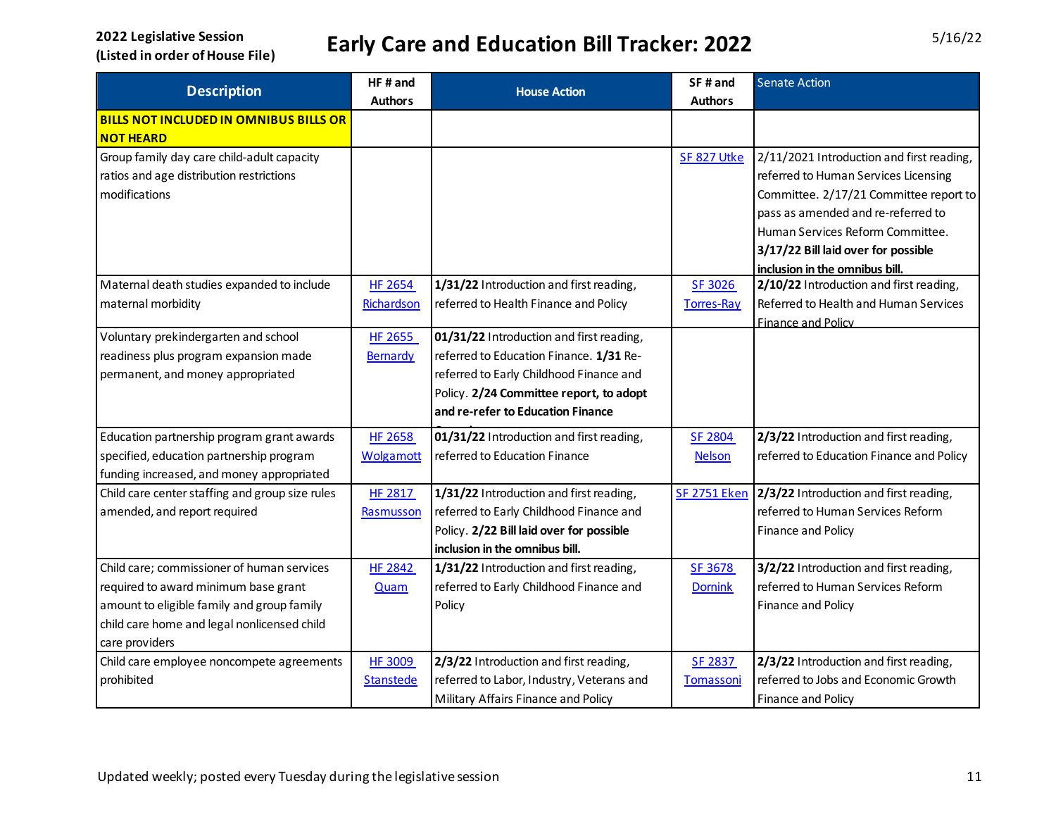| <b>Description</b>                              | HF# and          | <b>House Action</b>                       | SF# and             | <b>Senate Action</b>                      |
|-------------------------------------------------|------------------|-------------------------------------------|---------------------|-------------------------------------------|
|                                                 | <b>Authors</b>   |                                           | <b>Authors</b>      |                                           |
| <b>BILLS NOT INCLUDED IN OMNIBUS BILLS OR</b>   |                  |                                           |                     |                                           |
| <b>NOT HEARD</b>                                |                  |                                           |                     |                                           |
| Group family day care child-adult capacity      |                  |                                           | SF 827 Utke         | 2/11/2021 Introduction and first reading, |
| ratios and age distribution restrictions        |                  |                                           |                     | referred to Human Services Licensing      |
| modifications                                   |                  |                                           |                     | Committee. 2/17/21 Committee report to    |
|                                                 |                  |                                           |                     | pass as amended and re-referred to        |
|                                                 |                  |                                           |                     | Human Services Reform Committee.          |
|                                                 |                  |                                           |                     | 3/17/22 Bill laid over for possible       |
|                                                 |                  |                                           |                     | inclusion in the omnibus bill.            |
| Maternal death studies expanded to include      | <b>HF 2654</b>   | 1/31/22 Introduction and first reading,   | SF 3026             | 2/10/22 Introduction and first reading,   |
| maternal morbidity                              | Richardson       | referred to Health Finance and Policy     | <b>Torres-Ray</b>   | Referred to Health and Human Services     |
|                                                 |                  |                                           |                     | Finance and Policy                        |
| Voluntary prekindergarten and school            | HF 2655          | 01/31/22 Introduction and first reading,  |                     |                                           |
| readiness plus program expansion made           | Bernardy         | referred to Education Finance. 1/31 Re-   |                     |                                           |
| permanent, and money appropriated               |                  | referred to Early Childhood Finance and   |                     |                                           |
|                                                 |                  | Policy. 2/24 Committee report, to adopt   |                     |                                           |
|                                                 |                  | and re-refer to Education Finance         |                     |                                           |
| Education partnership program grant awards      | <b>HF 2658</b>   | 01/31/22 Introduction and first reading,  | SF 2804             | 2/3/22 Introduction and first reading,    |
| specified, education partnership program        | <b>Wolgamott</b> | referred to Education Finance             | <b>Nelson</b>       | referred to Education Finance and Policy  |
| funding increased, and money appropriated       |                  |                                           |                     |                                           |
| Child care center staffing and group size rules | HF 2817          | 1/31/22 Introduction and first reading,   | <b>SF 2751 Eken</b> | 2/3/22 Introduction and first reading,    |
| amended, and report required                    | Rasmusson        | referred to Early Childhood Finance and   |                     | referred to Human Services Reform         |
|                                                 |                  | Policy. 2/22 Bill laid over for possible  |                     | Finance and Policy                        |
|                                                 |                  | inclusion in the omnibus bill.            |                     |                                           |
| Child care; commissioner of human services      | <b>HF 2842</b>   | 1/31/22 Introduction and first reading,   | SF 3678             | 3/2/22 Introduction and first reading,    |
| required to award minimum base grant            | <b>Quam</b>      | referred to Early Childhood Finance and   | <b>Dornink</b>      | referred to Human Services Reform         |
| amount to eligible family and group family      |                  | Policy                                    |                     | Finance and Policy                        |
| child care home and legal nonlicensed child     |                  |                                           |                     |                                           |
| care providers                                  |                  |                                           |                     |                                           |
| Child care employee noncompete agreements       | <b>HF 3009</b>   | 2/3/22 Introduction and first reading,    | <b>SF 2837</b>      | 2/3/22 Introduction and first reading,    |
| prohibited                                      | <b>Stanstede</b> | referred to Labor, Industry, Veterans and | Tomassoni           | referred to Jobs and Economic Growth      |
|                                                 |                  | Military Affairs Finance and Policy       |                     | Finance and Policy                        |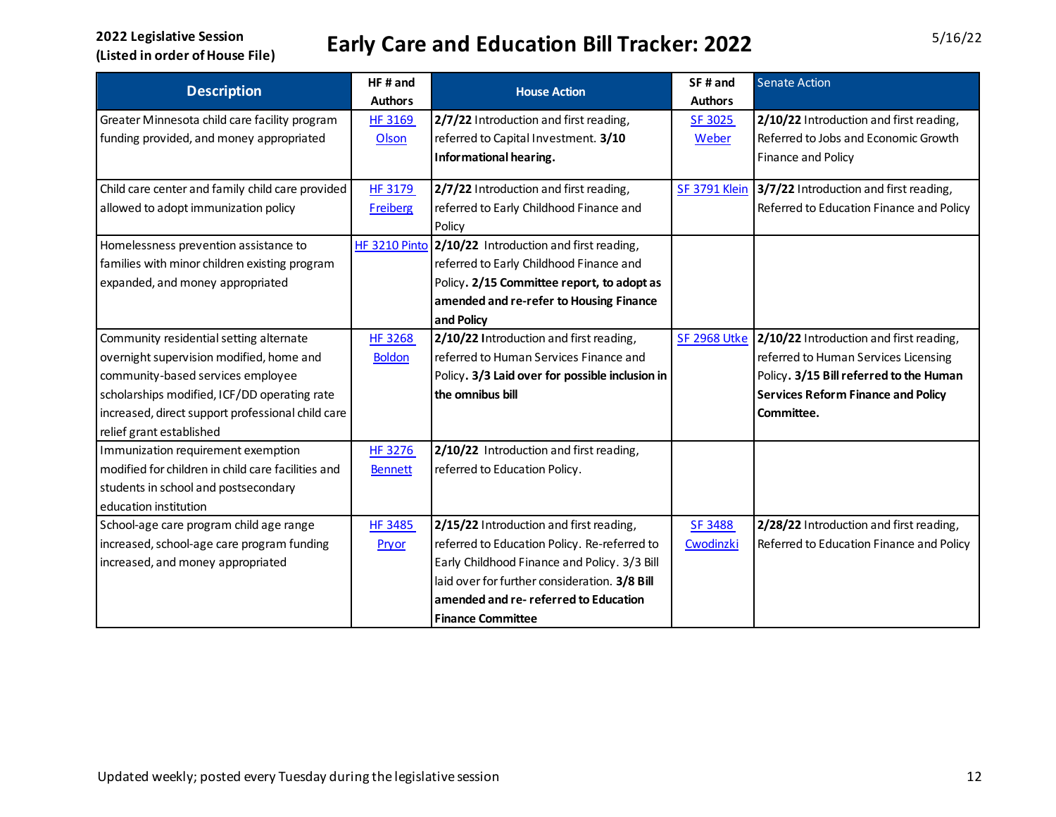| <b>Description</b>                                 | HF# and         | <b>House Action</b>                                   | SF# and              | <b>Senate Action</b>                      |
|----------------------------------------------------|-----------------|-------------------------------------------------------|----------------------|-------------------------------------------|
|                                                    | <b>Authors</b>  |                                                       | <b>Authors</b>       |                                           |
| Greater Minnesota child care facility program      | <b>HF 3169</b>  | 2/7/22 Introduction and first reading,                | SF 3025              | 2/10/22 Introduction and first reading,   |
| funding provided, and money appropriated           | Olson           | referred to Capital Investment. 3/10                  | Weber                | Referred to Jobs and Economic Growth      |
|                                                    |                 | Informational hearing.                                |                      | Finance and Policy                        |
| Child care center and family child care provided   | <b>HF 3179</b>  | 2/7/22 Introduction and first reading,                | <b>SF 3791 Klein</b> | 3/7/22 Introduction and first reading,    |
| allowed to adopt immunization policy               | <b>Freiberg</b> | referred to Early Childhood Finance and               |                      | Referred to Education Finance and Policy  |
|                                                    |                 | Policy                                                |                      |                                           |
| Homelessness prevention assistance to              |                 | HF 3210 Pinto 2/10/22 Introduction and first reading, |                      |                                           |
| families with minor children existing program      |                 | referred to Early Childhood Finance and               |                      |                                           |
| expanded, and money appropriated                   |                 | Policy. 2/15 Committee report, to adopt as            |                      |                                           |
|                                                    |                 | amended and re-refer to Housing Finance               |                      |                                           |
|                                                    |                 | and Policy                                            |                      |                                           |
| Community residential setting alternate            | <b>HF 3268</b>  | 2/10/22 Introduction and first reading,               | <b>SF 2968 Utke</b>  | 2/10/22 Introduction and first reading,   |
| overnight supervision modified, home and           | <b>Boldon</b>   | referred to Human Services Finance and                |                      | referred to Human Services Licensing      |
| community-based services employee                  |                 | Policy. 3/3 Laid over for possible inclusion in       |                      | Policy. 3/15 Bill referred to the Human   |
| scholarships modified, ICF/DD operating rate       |                 | the omnibus bill                                      |                      | <b>Services Reform Finance and Policy</b> |
| increased, direct support professional child care  |                 |                                                       |                      | Committee.                                |
| relief grant established                           |                 |                                                       |                      |                                           |
| Immunization requirement exemption                 | HF 3276         | 2/10/22 Introduction and first reading,               |                      |                                           |
| modified for children in child care facilities and | <b>Bennett</b>  | referred to Education Policy.                         |                      |                                           |
| students in school and postsecondary               |                 |                                                       |                      |                                           |
| education institution                              |                 |                                                       |                      |                                           |
| School-age care program child age range            | <b>HF 3485</b>  | 2/15/22 Introduction and first reading,               | SF 3488              | 2/28/22 Introduction and first reading,   |
| increased, school-age care program funding         | Pryor           | referred to Education Policy. Re-referred to          | Cwodinzki            | Referred to Education Finance and Policy  |
| increased, and money appropriated                  |                 | Early Childhood Finance and Policy. 3/3 Bill          |                      |                                           |
|                                                    |                 | laid over for further consideration. 3/8 Bill         |                      |                                           |
|                                                    |                 | amended and re-referred to Education                  |                      |                                           |
|                                                    |                 | <b>Finance Committee</b>                              |                      |                                           |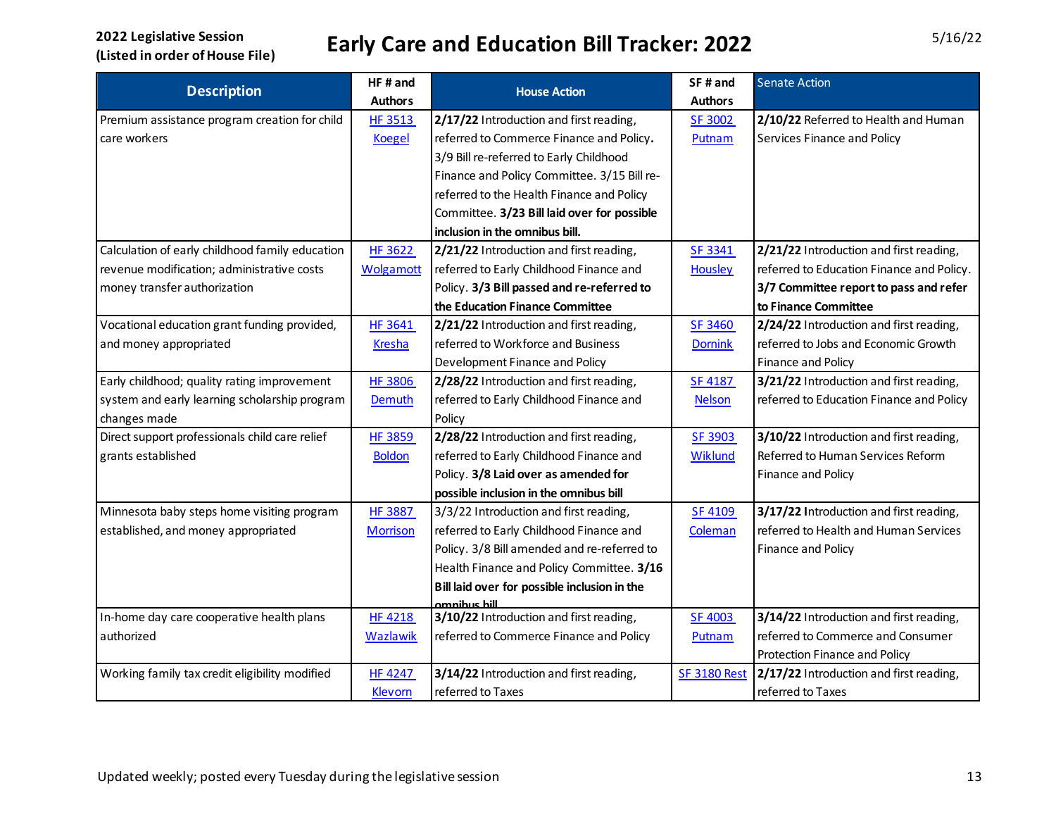|                                                 | HF#and           |                                              | SF# and             | <b>Senate Action</b>                      |
|-------------------------------------------------|------------------|----------------------------------------------|---------------------|-------------------------------------------|
| <b>Description</b>                              | <b>Authors</b>   | <b>House Action</b>                          | <b>Authors</b>      |                                           |
| Premium assistance program creation for child   | <b>HF 3513</b>   | 2/17/22 Introduction and first reading,      | <b>SF 3002</b>      | 2/10/22 Referred to Health and Human      |
| care workers                                    | <b>Koegel</b>    | referred to Commerce Finance and Policy.     | Putnam              | Services Finance and Policy               |
|                                                 |                  | 3/9 Bill re-referred to Early Childhood      |                     |                                           |
|                                                 |                  | Finance and Policy Committee. 3/15 Bill re-  |                     |                                           |
|                                                 |                  | referred to the Health Finance and Policy    |                     |                                           |
|                                                 |                  | Committee. 3/23 Bill laid over for possible  |                     |                                           |
|                                                 |                  | inclusion in the omnibus bill.               |                     |                                           |
| Calculation of early childhood family education | <b>HF 3622</b>   | 2/21/22 Introduction and first reading,      | SF 3341             | 2/21/22 Introduction and first reading,   |
| revenue modification; administrative costs      | <b>Wolgamott</b> | referred to Early Childhood Finance and      | Housley             | referred to Education Finance and Policy. |
| money transfer authorization                    |                  | Policy. 3/3 Bill passed and re-referred to   |                     | 3/7 Committee report to pass and refer    |
|                                                 |                  | the Education Finance Committee              |                     | to Finance Committee                      |
| Vocational education grant funding provided,    | <b>HF 3641</b>   | 2/21/22 Introduction and first reading,      | <b>SF 3460</b>      | 2/24/22 Introduction and first reading,   |
| and money appropriated                          | <b>Kresha</b>    | referred to Workforce and Business           | <b>Dornink</b>      | referred to Jobs and Economic Growth      |
|                                                 |                  | Development Finance and Policy               |                     | Finance and Policy                        |
| Early childhood; quality rating improvement     | <b>HF 3806</b>   | 2/28/22 Introduction and first reading,      | <b>SF 4187</b>      | 3/21/22 Introduction and first reading,   |
| system and early learning scholarship program   | Demuth           | referred to Early Childhood Finance and      | <b>Nelson</b>       | referred to Education Finance and Policy  |
| changes made                                    |                  | Policy                                       |                     |                                           |
| Direct support professionals child care relief  | <b>HF 3859</b>   | 2/28/22 Introduction and first reading,      | SF 3903             | 3/10/22 Introduction and first reading,   |
| grants established                              | <b>Boldon</b>    | referred to Early Childhood Finance and      | Wiklund             | Referred to Human Services Reform         |
|                                                 |                  | Policy. 3/8 Laid over as amended for         |                     | Finance and Policy                        |
|                                                 |                  | possible inclusion in the omnibus bill       |                     |                                           |
| Minnesota baby steps home visiting program      | <b>HF 3887</b>   | 3/3/22 Introduction and first reading,       | <b>SF 4109</b>      | 3/17/22 Introduction and first reading,   |
| established, and money appropriated             | <b>Morrison</b>  | referred to Early Childhood Finance and      | Coleman             | referred to Health and Human Services     |
|                                                 |                  | Policy. 3/8 Bill amended and re-referred to  |                     | Finance and Policy                        |
|                                                 |                  | Health Finance and Policy Committee. 3/16    |                     |                                           |
|                                                 |                  | Bill laid over for possible inclusion in the |                     |                                           |
|                                                 |                  | amnihus hill                                 |                     |                                           |
| In-home day care cooperative health plans       | <b>HF 4218</b>   | 3/10/22 Introduction and first reading,      | <b>SF 4003</b>      | 3/14/22 Introduction and first reading,   |
| authorized                                      | <b>Wazlawik</b>  | referred to Commerce Finance and Policy      | Putnam              | referred to Commerce and Consumer         |
|                                                 |                  |                                              |                     | Protection Finance and Policy             |
| Working family tax credit eligibility modified  | <b>HF 4247</b>   | 3/14/22 Introduction and first reading,      | <b>SF 3180 Rest</b> | 2/17/22 Introduction and first reading,   |
|                                                 | Klevorn          | referred to Taxes                            |                     | referred to Taxes                         |